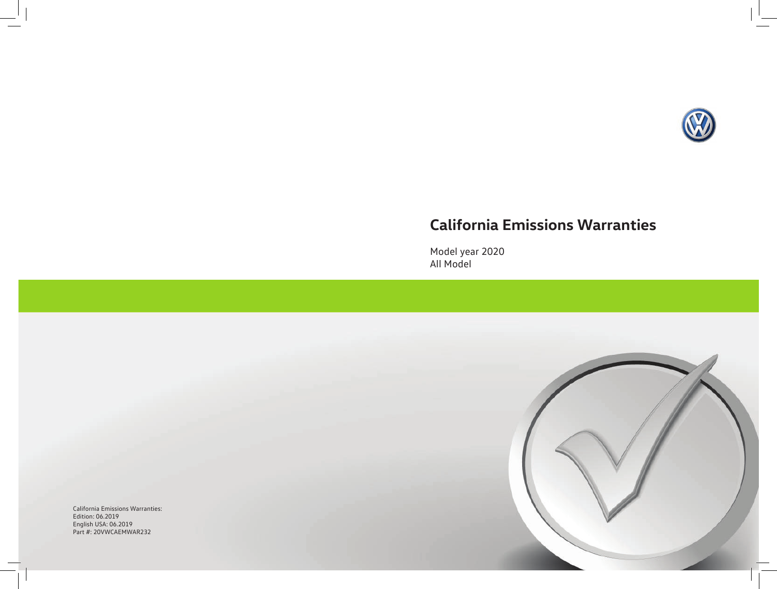

# **California Emissions Warranties**

Model year 2020 All Model

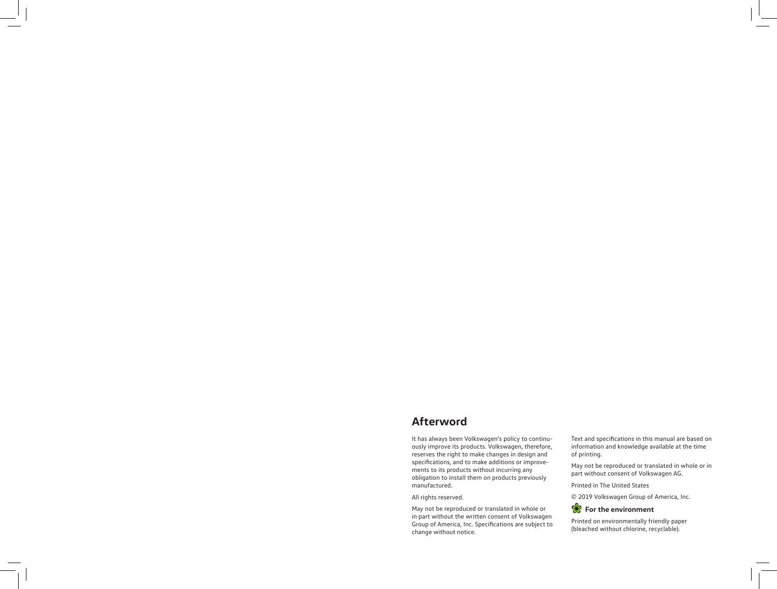# **Afterword**

It has always been Volkswagen's policy to continuously improve its products. Volkswagen, therefore, reserves the right to make changes in design and specifications, and to make additions or improvements to its products without incurring any obligation to install them on products previously manufactured.

All rights reserved.

May not be reproduced or translated in whole or in part without the written consent of Volkswagen Group of America, Inc. Specifications are subject to change without notice.

Text and specifications in this manual are based on information and knowledge available at the time of printing.

May not be reproduced or translated in whole or in part without consent of Volkswagen AG.

Printed in The United States

© 2019 Volkswagen Group of America, Inc.



Printed on environmentally friendly paper (bleached without chlorine, recyclable).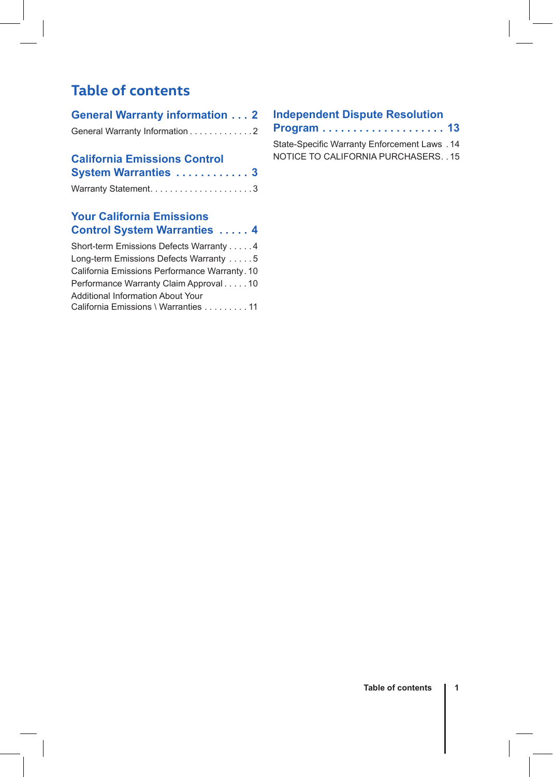# **Table of contents**

| <b>General Warranty information  2</b> |  |  |
|----------------------------------------|--|--|
| General Warranty Information 2         |  |  |

### **California Emissions Control System Warranties . . . . . . . . . . . . 3**

| oystem warranties  o |  |  |  |  |  |  |  |
|----------------------|--|--|--|--|--|--|--|
|                      |  |  |  |  |  |  |  |

### **Your California Emissions Control System Warranties . . . . . 4**

| Short-term Emissions Defects Warranty 4       |
|-----------------------------------------------|
| Long-term Emissions Defects Warranty 5        |
| California Emissions Performance Warranty. 10 |
| Performance Warranty Claim Approval 10        |
| <b>Additional Information About Your</b>      |
| California Emissions \ Warranties 11          |

### **Independent Dispute Resolution**

**Program . . . . . . . . . . . . . . . . . . . . 13**

State-Specific Warranty Enforcement Laws. 14 NOTICE TO CALIFORNIA PURCHASERS . 15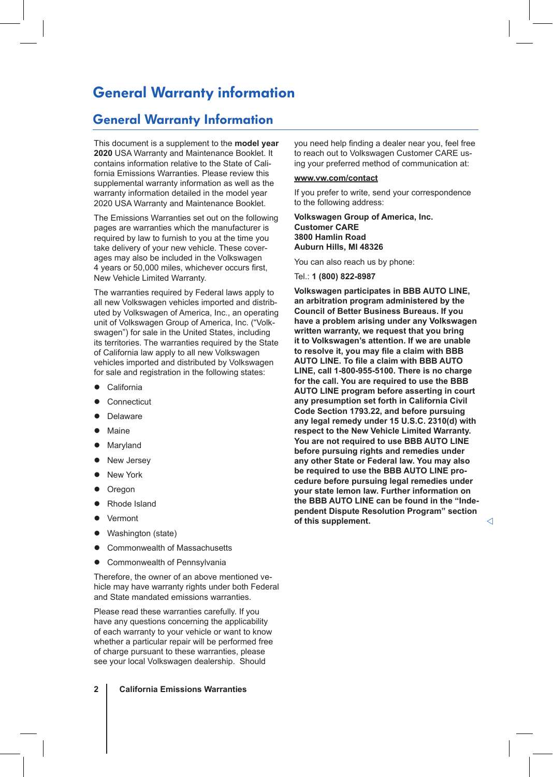# General Warranty information

### General Warranty Information

This document is a supplement to the **model year 2020** USA Warranty and Maintenance Booklet. It contains information relative to the State of California Emissions Warranties. Please review this supplemental warranty information as well as the warranty information detailed in the model year 2020 USA Warranty and Maintenance Booklet.

The Emissions Warranties set out on the following pages are warranties which the manufacturer is required by law to furnish to you at the time you take delivery of your new vehicle. These coverages may also be included in the Volkswagen 4 years or 50,000 miles, whichever occurs first, New Vehicle Limited Warranty.

The warranties required by Federal laws apply to all new Volkswagen vehicles imported and distributed by Volkswagen of America, Inc., an operating unit of Volkswagen Group of America, Inc. ("Volkswagen") for sale in the United States, including its territories. The warranties required by the State of California law apply to all new Volkswagen vehicles imported and distributed by Volkswagen for sale and registration in the following states:

- California
- Connecticut
- Delaware
- Maine
- Maryland
- New Jersey
- **New York**
- Oregon
- Rhode Island
- Vermont
- Washington (state)
- Commonwealth of Massachusetts
- Commonwealth of Pennsylvania

Therefore, the owner of an above mentioned vehicle may have warranty rights under both Federal and State mandated emissions warranties.

Please read these warranties carefully. If you have any questions concerning the applicability of each warranty to your vehicle or want to know whether a particular repair will be performed free of charge pursuant to these warranties, please see your local Volkswagen dealership. Should

**2 California Emissions Warranties**

you need help finding a dealer near you, feel free to reach out to Volkswagen Customer CARE using your preferred method of communication at:

### **www.vw.com/contact**

If you prefer to write, send your correspondence to the following address:

#### **Volkswagen Group of America, Inc. Customer CARE 3800 Hamlin Road Auburn Hills, MI 48326**

You can also reach us by phone:

Tel.: **1 (800) 822-8987**

**Volkswagen participates in BBB AUTO LINE, an arbitration program administered by the Council of Better Business Bureaus. If you have a problem arising under any Volkswagen written warranty, we request that you bring it to Volkswagen's attention. If we are unable to resolve it, you may file a claim with BBB AUTO LINE. To file a claim with BBB AUTO LINE, call 1-800-955-5100. There is no charge for the call. You are required to use the BBB AUTO LINE program before asserting in court any presumption set forth in California Civil Code Section 1793.22, and before pursuing any legal remedy under 15 U.S.C. 2310(d) with respect to the New Vehicle Limited Warranty. You are not required to use BBB AUTO LINE before pursuing rights and remedies under any other State or Federal law. You may also be required to use the BBB AUTO LINE procedure before pursuing legal remedies under your state lemon law. Further information on the BBB AUTO LINE can be found in the "Independent Dispute Resolution Program" section of this supplement.**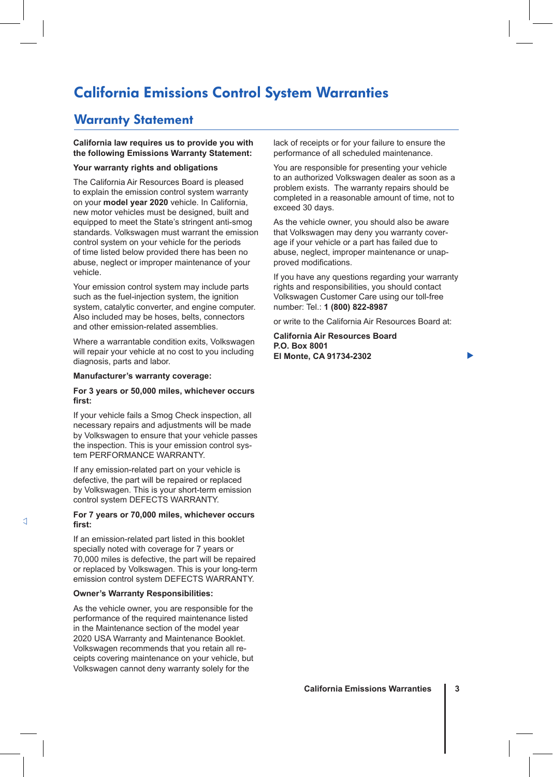# California Emissions Control System Warranties

### Warranty Statement

### **California law requires us to provide you with the following Emissions Warranty Statement:**

### **Your warranty rights and obligations**

The California Air Resources Board is pleased to explain the emission control system warranty on your **model year 2020** vehicle. In California, new motor vehicles must be designed, built and equipped to meet the State's stringent anti-smog standards. Volkswagen must warrant the emission control system on your vehicle for the periods of time listed below provided there has been no abuse, neglect or improper maintenance of your vehicle.

Your emission control system may include parts such as the fuel-injection system, the ignition system, catalytic converter, and engine computer. Also included may be hoses, belts, connectors and other emission-related assemblies.

Where a warrantable condition exits, Volkswagen will repair your vehicle at no cost to you including diagnosis, parts and labor.

#### **Manufacturer's warranty coverage:**

### **For 3 years or 50,000 miles, whichever occurs first:**

If your vehicle fails a Smog Check inspection, all necessary repairs and adjustments will be made by Volkswagen to ensure that your vehicle passes the inspection. This is your emission control system PERFORMANCE WARRANTY.

If any emission-related part on your vehicle is defective, the part will be repaired or replaced by Volkswagen. This is your short-term emission control system DEFECTS WARRANTY.

### **For 7 years or 70,000 miles, whichever occurs first:**

If an emission-related part listed in this booklet specially noted with coverage for 7 years or 70,000 miles is defective, the part will be repaired or replaced by Volkswagen. This is your long-term emission control system DEFECTS WARRANTY.

#### **Owner's Warranty Responsibilities:**

As the vehicle owner, you are responsible for the performance of the required maintenance listed in the Maintenance section of the model year 2020 USA Warranty and Maintenance Booklet. Volkswagen recommends that you retain all receipts covering maintenance on your vehicle, but Volkswagen cannot deny warranty solely for the

lack of receipts or for your failure to ensure the performance of all scheduled maintenance.

You are responsible for presenting your vehicle to an authorized Volkswagen dealer as soon as a problem exists. The warranty repairs should be completed in a reasonable amount of time, not to exceed 30 days.

As the vehicle owner, you should also be aware that Volkswagen may deny you warranty coverage if your vehicle or a part has failed due to abuse, neglect, improper maintenance or unapproved modifications.

If you have any questions regarding your warranty rights and responsibilities, you should contact Volkswagen Customer Care using our toll-free number: Tel.: **1 (800) 822-8987**

or write to the California Air Resources Board at:

**California Air Resources Board P.O. Box 8001 El Monte, CA 91734-2302**

▶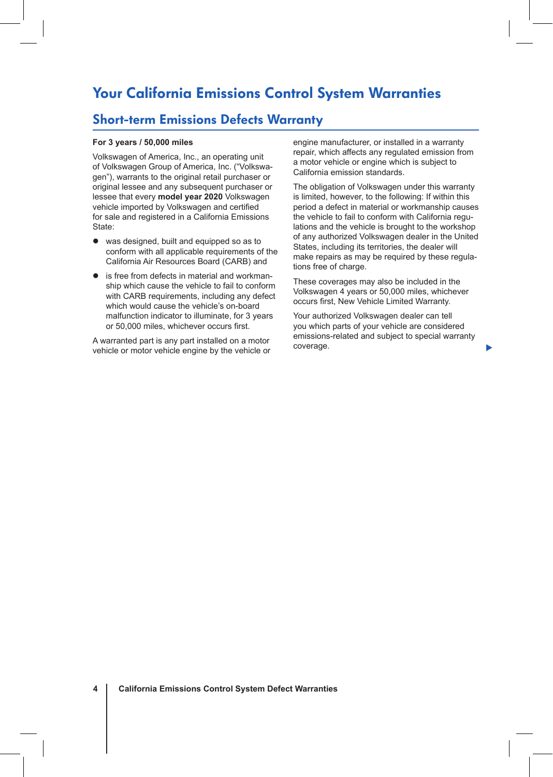# Your California Emissions Control System Warranties

### Short-term Emissions Defects Warranty

### **For 3 years / 50,000 miles**

Volkswagen of America, Inc., an operating unit of Volkswagen Group of America, Inc. ("Volkswagen"), warrants to the original retail purchaser or original lessee and any subsequent purchaser or lessee that every **model year 2020** Volkswagen vehicle imported by Volkswagen and certified for sale and registered in a California Emissions State:

- was designed, built and equipped so as to conform with all applicable requirements of the California Air Resources Board (CARB) and
- is free from defects in material and workmanship which cause the vehicle to fail to conform with CARB requirements, including any defect which would cause the vehicle's on-board malfunction indicator to illuminate, for 3 years or 50,000 miles, whichever occurs first.

A warranted part is any part installed on a motor vehicle or motor vehicle engine by the vehicle or engine manufacturer, or installed in a warranty repair, which affects any regulated emission from a motor vehicle or engine which is subject to California emission standards.

The obligation of Volkswagen under this warranty is limited, however, to the following: If within this period a defect in material or workmanship causes the vehicle to fail to conform with California regulations and the vehicle is brought to the workshop of any authorized Volkswagen dealer in the United States, including its territories, the dealer will make repairs as may be required by these regulations free of charge.

These coverages may also be included in the Volkswagen 4 years or 50,000 miles, whichever occurs first, New Vehicle Limited Warranty.

Your authorized Volkswagen dealer can tell you which parts of your vehicle are considered emissions-related and subject to special warranty coverage.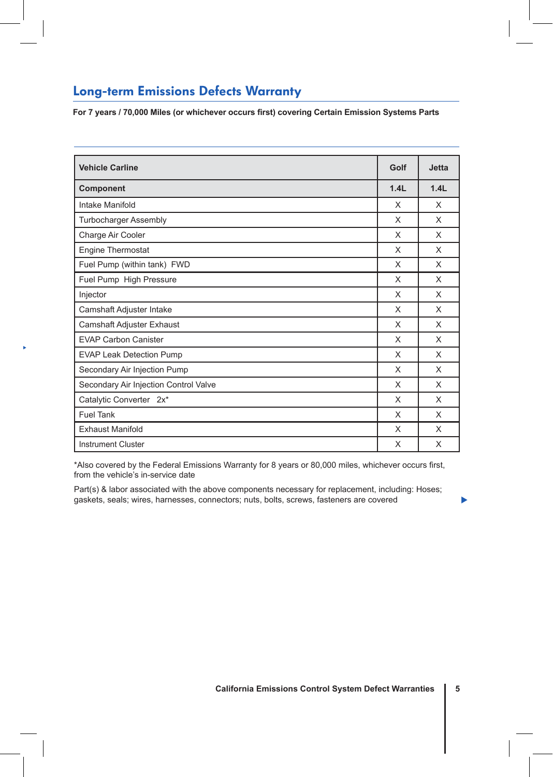### Long-term Emissions Defects Warranty

P

**For 7 years / 70,000 Miles (or whichever occurs first) covering Certain Emission Systems Parts**

| <b>Vehicle Carline</b>                | Golf | <b>Jetta</b> |
|---------------------------------------|------|--------------|
| Component                             | 1.4L | 1.4L         |
| Intake Manifold                       | X    | X            |
| <b>Turbocharger Assembly</b>          | X    | $\times$     |
| Charge Air Cooler                     | X    | $\times$     |
| Engine Thermostat                     | X    | $\times$     |
| Fuel Pump (within tank) FWD           | X    | X            |
| Fuel Pump High Pressure               | X    | X            |
| Injector                              | X    | $\times$     |
| Camshaft Adjuster Intake              | X    | X            |
| Camshaft Adjuster Exhaust             | X    | $\times$     |
| <b>EVAP Carbon Canister</b>           | X    | X            |
| <b>EVAP Leak Detection Pump</b>       | X    | X            |
| Secondary Air Injection Pump          | X    | X            |
| Secondary Air Injection Control Valve | X    | $\times$     |
| Catalytic Converter 2x*               | X    | $\times$     |
| <b>Fuel Tank</b>                      | X    | X            |
| <b>Exhaust Manifold</b>               | X    | $\times$     |
| <b>Instrument Cluster</b>             | X    | $\times$     |

\*Also covered by the Federal Emissions Warranty for 8 years or 80,000 miles, whichever occurs first, from the vehicle's in-service date

Part(s) & labor associated with the above components necessary for replacement, including: Hoses; gaskets, seals; wires, harnesses, connectors; nuts, bolts, screws, fasteners are covered

**California Emissions Control System Defect Warranties 5**

b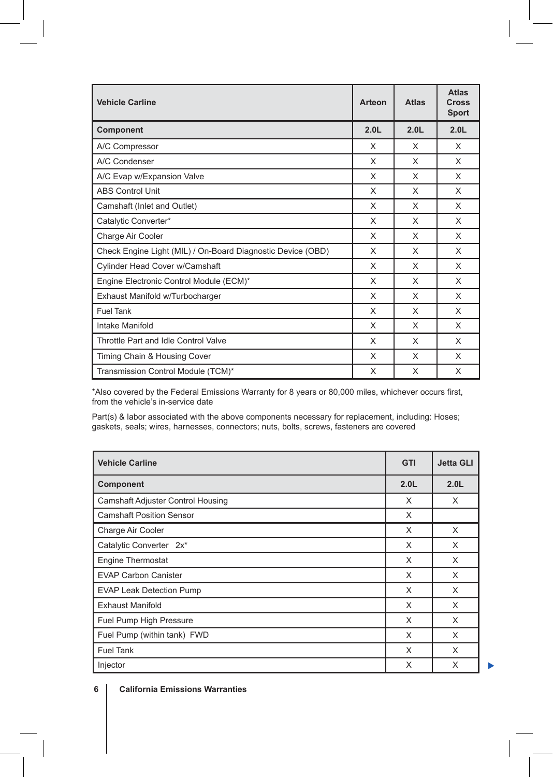| <b>Vehicle Carline</b>                                      | Arteon           | <b>Atlas</b>     | <b>Atlas</b><br>Cross<br><b>Sport</b> |
|-------------------------------------------------------------|------------------|------------------|---------------------------------------|
| Component                                                   | 2.0 <sub>L</sub> | 2.0 <sub>L</sub> | 2.0 <sub>L</sub>                      |
| A/C Compressor                                              | X                | X                | X                                     |
| A/C Condenser                                               | X                | X                | X                                     |
| A/C Evap w/Expansion Valve                                  | X                | X                | X                                     |
| <b>ABS Control Unit</b>                                     | X                | X                | X                                     |
| Camshaft (Inlet and Outlet)                                 | X                | X                | X                                     |
| Catalytic Converter*                                        | X                | X                | $\times$                              |
| Charge Air Cooler                                           | X                | X                | X                                     |
| Check Engine Light (MIL) / On-Board Diagnostic Device (OBD) | X                | X                | X                                     |
| Cylinder Head Cover w/Camshaft                              | X                | X                | X                                     |
| Engine Electronic Control Module (ECM)*                     | X                | X                | X                                     |
| Exhaust Manifold w/Turbocharger                             | X                | X                | X                                     |
| <b>Fuel Tank</b>                                            | X                | X                | X                                     |
| Intake Manifold                                             | X                | X                | X                                     |
| Throttle Part and Idle Control Valve                        | X                | X                | X                                     |
| Timing Chain & Housing Cover                                | X                | X                | X                                     |
| Transmission Control Module (TCM)*                          | X                | X                | X                                     |

 $\overline{\phantom{a}}$ 

\*Also covered by the Federal Emissions Warranty for 8 years or 80,000 miles, whichever occurs first, from the vehicle's in-service date

Part(s) & labor associated with the above components necessary for replacement, including: Hoses; gaskets, seals; wires, harnesses, connectors; nuts, bolts, screws, fasteners are covered

| <b>Vehicle Carline</b>            | <b>GTI</b>       | <b>Jetta GLI</b> |
|-----------------------------------|------------------|------------------|
| Component                         | 2.0 <sub>L</sub> | 2.0 <sub>L</sub> |
| Camshaft Adjuster Control Housing | X                | X                |
| <b>Camshaft Position Sensor</b>   | X                |                  |
| Charge Air Cooler                 | X                | X                |
| Catalytic Converter 2x*           | X                | X                |
| Engine Thermostat                 | X                | X                |
| <b>EVAP Carbon Canister</b>       | X                | X                |
| <b>EVAP Leak Detection Pump</b>   | X                | X                |
| <b>Exhaust Manifold</b>           | X                | X                |
| Fuel Pump High Pressure           | X                | X                |
| Fuel Pump (within tank) FWD       | X                | X                |
| <b>Fuel Tank</b>                  | X                | X                |
| Injector                          | X                | X                |

**6 California Emissions Warranties**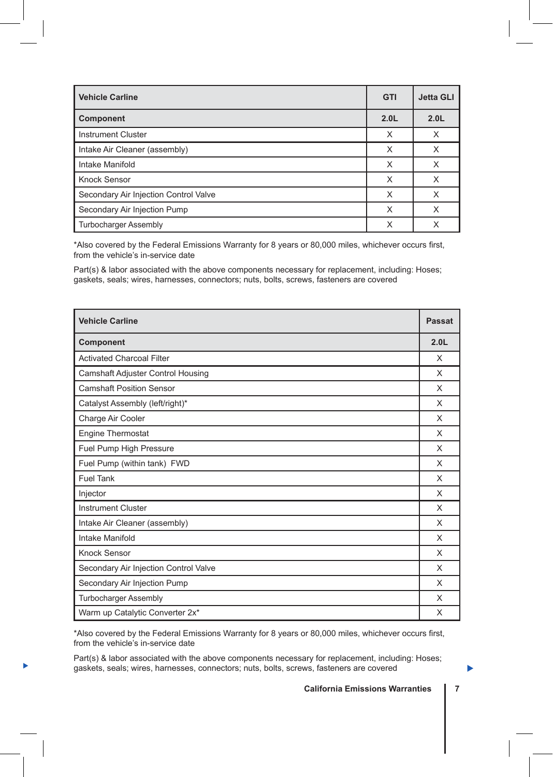| <b>Vehicle Carline</b>                | <b>GTI</b>       | <b>Jetta GLI</b> |
|---------------------------------------|------------------|------------------|
| <b>Component</b>                      | 2.0 <sub>L</sub> | 2.0 <sub>L</sub> |
| <b>Instrument Cluster</b>             | X                | X                |
| Intake Air Cleaner (assembly)         | X                | X                |
| Intake Manifold                       | X                | X                |
| Knock Sensor                          | X                | X                |
| Secondary Air Injection Control Valve | X                | X                |
| Secondary Air Injection Pump          | X                | X                |
| <b>Turbocharger Assembly</b>          | X                | X                |

\*Also covered by the Federal Emissions Warranty for 8 years or 80,000 miles, whichever occurs first, from the vehicle's in-service date

Part(s) & labor associated with the above components necessary for replacement, including: Hoses; gaskets, seals; wires, harnesses, connectors; nuts, bolts, screws, fasteners are covered

| <b>Vehicle Carline</b>                   | <b>Passat</b>    |
|------------------------------------------|------------------|
| Component                                | 2.0 <sub>L</sub> |
| <b>Activated Charcoal Filter</b>         | X                |
| <b>Camshaft Adjuster Control Housing</b> | X                |
| <b>Camshaft Position Sensor</b>          | X                |
| Catalyst Assembly (left/right)*          | X                |
| Charge Air Cooler                        | X                |
| <b>Engine Thermostat</b>                 | X                |
| Fuel Pump High Pressure                  | X                |
| Fuel Pump (within tank) FWD              | X                |
| <b>Fuel Tank</b>                         | X                |
| Injector                                 | X                |
| <b>Instrument Cluster</b>                | X                |
| Intake Air Cleaner (assembly)            | X                |
| Intake Manifold                          | X                |
| <b>Knock Sensor</b>                      | X                |
| Secondary Air Injection Control Valve    | X                |
| Secondary Air Injection Pump             | X                |
| <b>Turbocharger Assembly</b>             | X                |
| Warm up Catalytic Converter 2x*          | X                |

\*Also covered by the Federal Emissions Warranty for 8 years or 80,000 miles, whichever occurs first, from the vehicle's in-service date

**DEREVIES:** gaskets, seals; wires, harnesses, connectors; nuts, bolts, screws, fasteners are covered Part(s) & labor associated with the above components necessary for replacement, including: Hoses;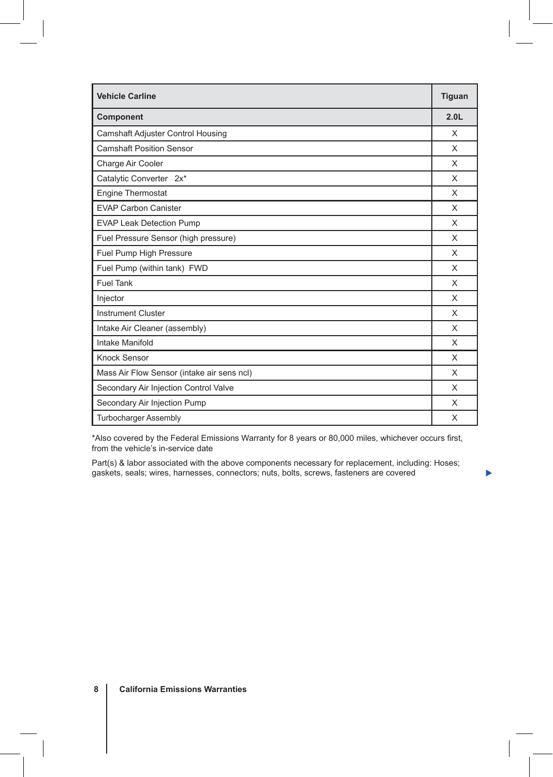| <b>Vehicle Carline</b>                     | <b>Tiguan</b>    |
|--------------------------------------------|------------------|
| Component                                  | 2.0 <sub>L</sub> |
| <b>Camshaft Adjuster Control Housing</b>   | X                |
| <b>Camshaft Position Sensor</b>            | X                |
| Charge Air Cooler                          | X                |
| Catalytic Converter 2x*                    | X                |
| <b>Engine Thermostat</b>                   | X                |
| <b>EVAP Carbon Canister</b>                | X                |
| <b>EVAP Leak Detection Pump</b>            | X                |
| Fuel Pressure Sensor (high pressure)       | X                |
| Fuel Pump High Pressure                    | X                |
| Fuel Pump (within tank) FWD                | X                |
| <b>Fuel Tank</b>                           | X                |
| Injector                                   | X                |
| <b>Instrument Cluster</b>                  | X                |
| Intake Air Cleaner (assembly)              | X                |
| Intake Manifold                            | X                |
| Knock Sensor                               | X                |
| Mass Air Flow Sensor (intake air sens ncl) | X                |
| Secondary Air Injection Control Valve      | X                |
| Secondary Air Injection Pump               | X                |
| <b>Turbocharger Assembly</b>               | X                |

\*Also covered by the Federal Emissions Warranty for 8 years or 80,000 miles, whichever occurs first, from the vehicle's in-service date

Part(s) & labor associated with the above components necessary for replacement, including: Hoses; gaskets, seals; wires, harnesses, connectors; nuts, bolts, screws, fasteners are covered

▶

 $\overline{\phantom{a}}$ 

 $\overline{\phantom{a}}$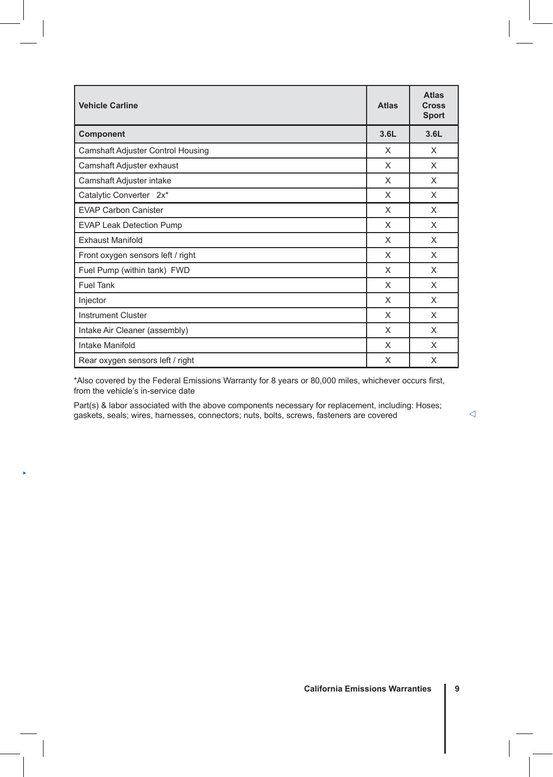| <b>Vehicle Carline</b>            | <b>Atlas</b> | <b>Atlas</b><br><b>Cross</b><br><b>Sport</b> |
|-----------------------------------|--------------|----------------------------------------------|
| Component                         | 3.6L         | 3.6L                                         |
| Camshaft Adjuster Control Housing | X            | X                                            |
| Camshaft Adjuster exhaust         | X            | X                                            |
| Camshaft Adjuster intake          | X            | X                                            |
| Catalytic Converter 2x*           | X            | X                                            |
| <b>EVAP Carbon Canister</b>       | X            | X                                            |
| <b>EVAP Leak Detection Pump</b>   | X            | X                                            |
| <b>Exhaust Manifold</b>           | X            | X                                            |
| Front oxygen sensors left / right | X            | X                                            |
| Fuel Pump (within tank) FWD       | X            | X                                            |
| <b>Fuel Tank</b>                  | X            | X                                            |
| Injector                          | X            | X                                            |
| <b>Instrument Cluster</b>         | X            | X                                            |
| Intake Air Cleaner (assembly)     | X            | X                                            |
| Intake Manifold                   | X            | X                                            |
| Rear oxygen sensors left / right  | X            | X                                            |

\*Also covered by the Federal Emissions Warranty for 8 years or 80,000 miles, whichever occurs first, from the vehicle's in-service date

Part(s) & labor associated with the above components necessary for replacement, including: Hoses; gaskets, seals; wires, harnesses, connectors; nuts, bolts, screws, fasteners are covered

×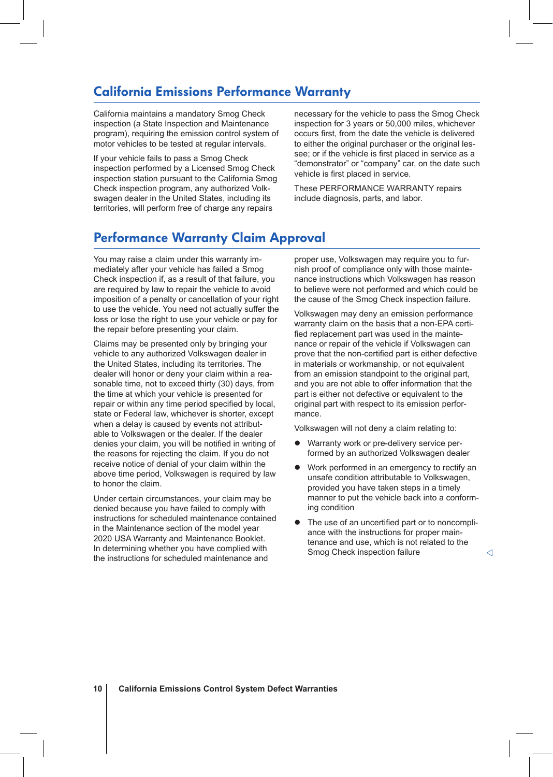## California Emissions Performance Warranty

California maintains a mandatory Smog Check inspection (a State Inspection and Maintenance program), requiring the emission control system of motor vehicles to be tested at regular intervals.

If your vehicle fails to pass a Smog Check inspection performed by a Licensed Smog Check inspection station pursuant to the California Smog Check inspection program, any authorized Volkswagen dealer in the United States, including its territories, will perform free of charge any repairs

necessary for the vehicle to pass the Smog Check inspection for 3 years or 50,000 miles, whichever occurs first, from the date the vehicle is delivered to either the original purchaser or the original lessee; or if the vehicle is first placed in service as a "demonstrator" or "company" car, on the date such vehicle is first placed in service.

These PERFORMANCE WARRANTY repairs include diagnosis, parts, and labor.

### Performance Warranty Claim Approval

You may raise a claim under this warranty immediately after your vehicle has failed a Smog Check inspection if, as a result of that failure, you are required by law to repair the vehicle to avoid imposition of a penalty or cancellation of your right to use the vehicle. You need not actually suffer the loss or lose the right to use your vehicle or pay for the repair before presenting your claim.

Claims may be presented only by bringing your vehicle to any authorized Volkswagen dealer in the United States, including its territories. The dealer will honor or deny your claim within a reasonable time, not to exceed thirty (30) days, from the time at which your vehicle is presented for repair or within any time period specified by local, state or Federal law, whichever is shorter, except when a delay is caused by events not attributable to Volkswagen or the dealer. If the dealer denies your claim, you will be notified in writing of the reasons for rejecting the claim. If you do not receive notice of denial of your claim within the above time period, Volkswagen is required by law to honor the claim.

Under certain circumstances, your claim may be denied because you have failed to comply with instructions for scheduled maintenance contained in the Maintenance section of the model year 2020 USA Warranty and Maintenance Booklet. In determining whether you have complied with the instructions for scheduled maintenance and

proper use, Volkswagen may require you to furnish proof of compliance only with those maintenance instructions which Volkswagen has reason to believe were not performed and which could be the cause of the Smog Check inspection failure.

Volkswagen may deny an emission performance warranty claim on the basis that a non-EPA certified replacement part was used in the maintenance or repair of the vehicle if Volkswagen can prove that the non-certified part is either defective in materials or workmanship, or not equivalent from an emission standpoint to the original part, and you are not able to offer information that the part is either not defective or equivalent to the original part with respect to its emission performance.

Volkswagen will not deny a claim relating to:

- Warranty work or pre-delivery service performed by an authorized Volkswagen dealer
- Work performed in an emergency to rectify an unsafe condition attributable to Volkswagen, provided you have taken steps in a timely manner to put the vehicle back into a conforming condition
- The use of an uncertified part or to noncompliance with the instructions for proper maintenance and use, which is not related to the Smog Check inspection failure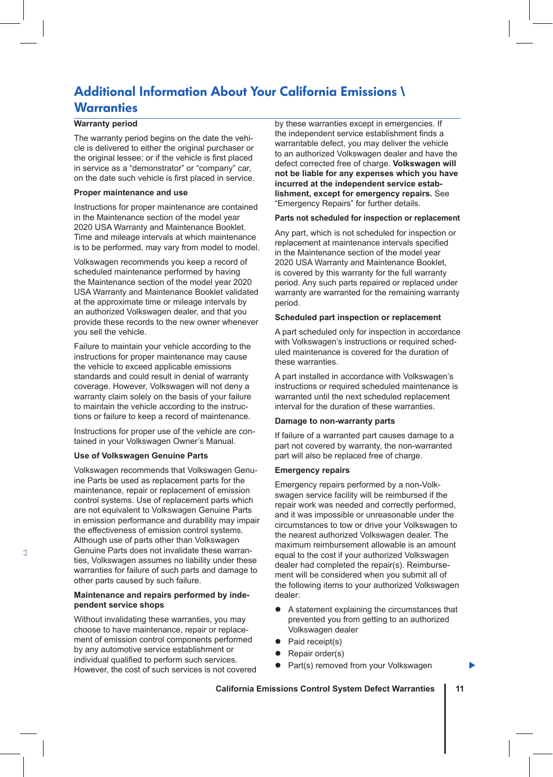## Additional Information About Your California Emissions \ **Warranties**

### **Warranty period**

The warranty period begins on the date the vehicle is delivered to either the original purchaser or the original lessee; or if the vehicle is first placed in service as a "demonstrator" or "company" car, on the date such vehicle is first placed in service.

#### **Proper maintenance and use**

Instructions for proper maintenance are contained in the Maintenance section of the model year 2020 USA Warranty and Maintenance Booklet. Time and mileage intervals at which maintenance is to be performed, may vary from model to model.

Volkswagen recommends you keep a record of scheduled maintenance performed by having the Maintenance section of the model year 2020 USA Warranty and Maintenance Booklet validated at the approximate time or mileage intervals by an authorized Volkswagen dealer, and that you provide these records to the new owner whenever you sell the vehicle.

Failure to maintain your vehicle according to the instructions for proper maintenance may cause the vehicle to exceed applicable emissions standards and could result in denial of warranty coverage. However, Volkswagen will not deny a warranty claim solely on the basis of your failure to maintain the vehicle according to the instructions or failure to keep a record of maintenance.

Instructions for proper use of the vehicle are contained in your Volkswagen Owner's Manual.

### **Use of Volkswagen Genuine Parts**

Volkswagen recommends that Volkswagen Genuine Parts be used as replacement parts for the maintenance, repair or replacement of emission control systems. Use of replacement parts which are not equivalent to Volkswagen Genuine Parts in emission performance and durability may impair the effectiveness of emission control systems. Although use of parts other than Volkswagen Genuine Parts does not invalidate these warranties, Volkswagen assumes no liability under these warranties for failure of such parts and damage to other parts caused by such failure.

### **Maintenance and repairs performed by independent service shops**

Without invalidating these warranties, you may choose to have maintenance, repair or replacement of emission control components performed by any automotive service establishment or individual qualified to perform such services. However, the cost of such services is not covered by these warranties except in emergencies. If the independent service establishment finds a warrantable defect, you may deliver the vehicle to an authorized Volkswagen dealer and have the defect corrected free of charge. **Volkswagen will not be liable for any expenses which you have incurred at the independent service establishment, except for emergency repairs.** See "Emergency Repairs" for further details.

### **Parts not scheduled for inspection or replacement**

Any part, which is not scheduled for inspection or replacement at maintenance intervals specified in the Maintenance section of the model year 2020 USA Warranty and Maintenance Booklet, is covered by this warranty for the full warranty period. Any such parts repaired or replaced under warranty are warranted for the remaining warranty period.

#### **Scheduled part inspection or replacement**

A part scheduled only for inspection in accordance with Volkswagen's instructions or required scheduled maintenance is covered for the duration of these warranties.

A part installed in accordance with Volkswagen's instructions or required scheduled maintenance is warranted until the next scheduled replacement interval for the duration of these warranties.

### **Damage to non-warranty parts**

If failure of a warranted part causes damage to a part not covered by warranty, the non-warranted part will also be replaced free of charge.

#### **Emergency repairs**

Emergency repairs performed by a non-Volkswagen service facility will be reimbursed if the repair work was needed and correctly performed, and it was impossible or unreasonable under the circumstances to tow or drive your Volkswagen to the nearest authorized Volkswagen dealer. The maximum reimbursement allowable is an amount equal to the cost if your authorized Volkswagen dealer had completed the repair(s). Reimbursement will be considered when you submit all of the following items to your authorized Volkswagen dealer:

A statement explaining the circumstances that prevented you from getting to an authorized Volkswagen dealer

▶

- Paid receipt(s)
- Repair order(s)
- Part(s) removed from your Volkswagen

### **California Emissions Control System Defect Warranties 11**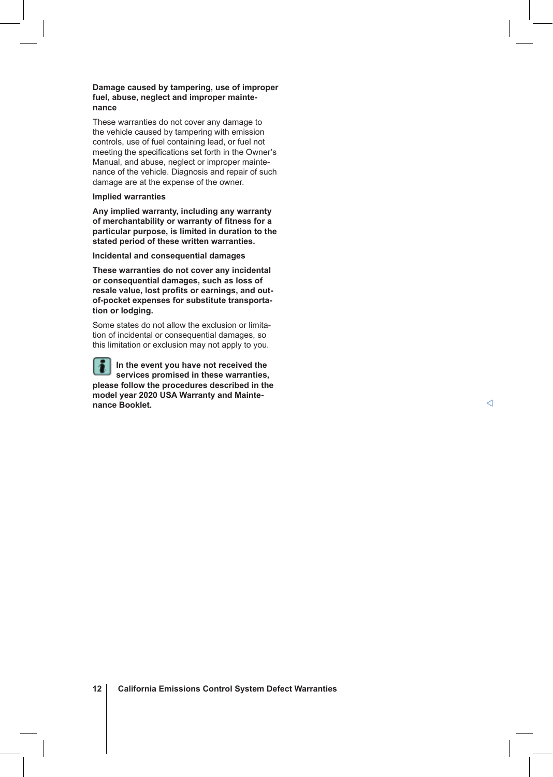### **Damage caused by tampering, use of improper fuel, abuse, neglect and improper maintenance**

These warranties do not cover any damage to the vehicle caused by tampering with emission controls, use of fuel containing lead, or fuel not meeting the specifications set forth in the Owner's Manual, and abuse, neglect or improper maintenance of the vehicle. Diagnosis and repair of such damage are at the expense of the owner.

### **Implied warranties**

**Any implied warranty, including any warranty of merchantability or warranty of fitness for a particular purpose, is limited in duration to the stated period of these written warranties.**

#### **Incidental and consequential damages**

**These warranties do not cover any incidental or consequential damages, such as loss of resale value, lost profits or earnings, and outof-pocket expenses for substitute transportation or lodging.**

Some states do not allow the exclusion or limitation of incidental or consequential damages, so this limitation or exclusion may not apply to you.

**In the event you have not received the**  ۱ē **services promised in these warranties, please follow the procedures described in the model year 2020 USA Warranty and Maintenance Booklet.**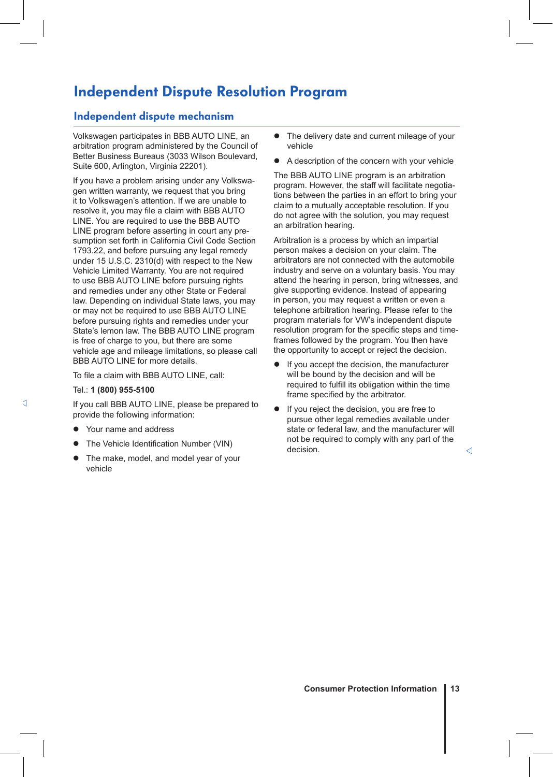# Independent Dispute Resolution Program

### Independent dispute mechanism

Volkswagen participates in BBB AUTO LINE, an arbitration program administered by the Council of Better Business Bureaus (3033 Wilson Boulevard, Suite 600, Arlington, Virginia 22201).

If you have a problem arising under any Volkswagen written warranty, we request that you bring it to Volkswagen's attention. If we are unable to resolve it, you may file a claim with BBB AUTO LINE. You are required to use the BBB AUTO LINE program before asserting in court any presumption set forth in California Civil Code Section 1793.22, and before pursuing any legal remedy under 15 U.S.C. 2310(d) with respect to the New Vehicle Limited Warranty. You are not required to use BBB AUTO LINE before pursuing rights and remedies under any other State or Federal law. Depending on individual State laws, you may or may not be required to use BBB AUTO LINE before pursuing rights and remedies under your State's lemon law. The BBB AUTO LINE program is free of charge to you, but there are some vehicle age and mileage limitations, so please call BBB AUTO LINE for more details.

To file a claim with BBB AUTO LINE, call:

#### Tel.: **1 (800) 955-5100**

If you call BBB AUTO LINE, please be prepared to provide the following information:

- Your name and address
- The Vehicle Identification Number (VIN)
- The make, model, and model year of your vehicle
- The delivery date and current mileage of your vehicle
- A description of the concern with your vehicle

The BBB AUTO LINE program is an arbitration program. However, the staff will facilitate negotiations between the parties in an effort to bring your claim to a mutually acceptable resolution. If you do not agree with the solution, you may request an arbitration hearing.

Arbitration is a process by which an impartial person makes a decision on your claim. The arbitrators are not connected with the automobile industry and serve on a voluntary basis. You may attend the hearing in person, bring witnesses, and give supporting evidence. Instead of appearing in person, you may request a written or even a telephone arbitration hearing. Please refer to the program materials for VW's independent dispute resolution program for the specific steps and timeframes followed by the program. You then have the opportunity to accept or reject the decision.

- If you accept the decision, the manufacturer will be bound by the decision and will be required to fulfill its obligation within the time frame specified by the arbitrator.
- If you reject the decision, you are free to pursue other legal remedies available under state or federal law, and the manufacturer will not be required to comply with any part of the decision.  $\triangleleft$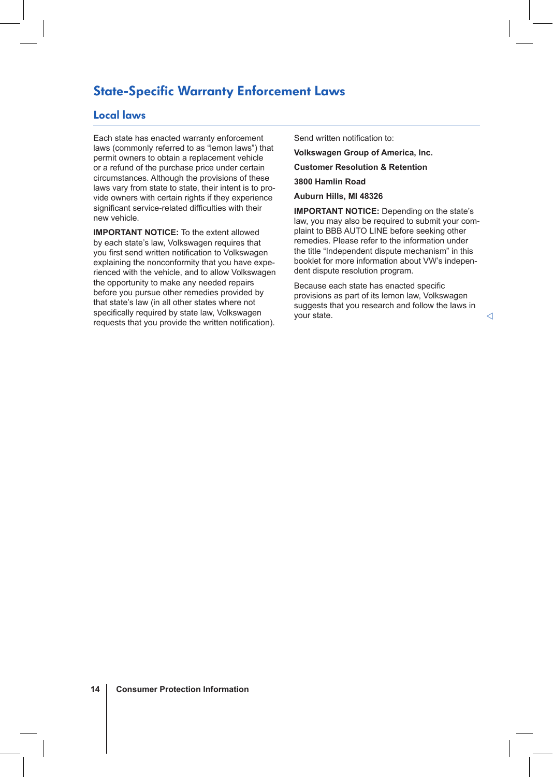### State-Specific Warranty Enforcement Laws

### Local laws

Each state has enacted warranty enforcement laws (commonly referred to as "lemon laws") that permit owners to obtain a replacement vehicle or a refund of the purchase price under certain circumstances. Although the provisions of these laws vary from state to state, their intent is to provide owners with certain rights if they experience significant service-related difficulties with their new vehicle.

**IMPORTANT NOTICE:** To the extent allowed by each state's law, Volkswagen requires that you first send written notification to Volkswagen explaining the nonconformity that you have experienced with the vehicle, and to allow Volkswagen the opportunity to make any needed repairs before you pursue other remedies provided by that state's law (in all other states where not specifically required by state law, Volkswagen requests that you provide the written notification). Send written notification to:

**Volkswagen Group of America, Inc.**

**Customer Resolution & Retention**

**3800 Hamlin Road**

**Auburn Hills, MI 48326**

**IMPORTANT NOTICE:** Depending on the state's law, you may also be required to submit your complaint to BBB AUTO LINE before seeking other remedies. Please refer to the information under the title "Independent dispute mechanism" in this booklet for more information about VW's independent dispute resolution program.

Because each state has enacted specific provisions as part of its lemon law, Volkswagen suggests that you research and follow the laws in your state.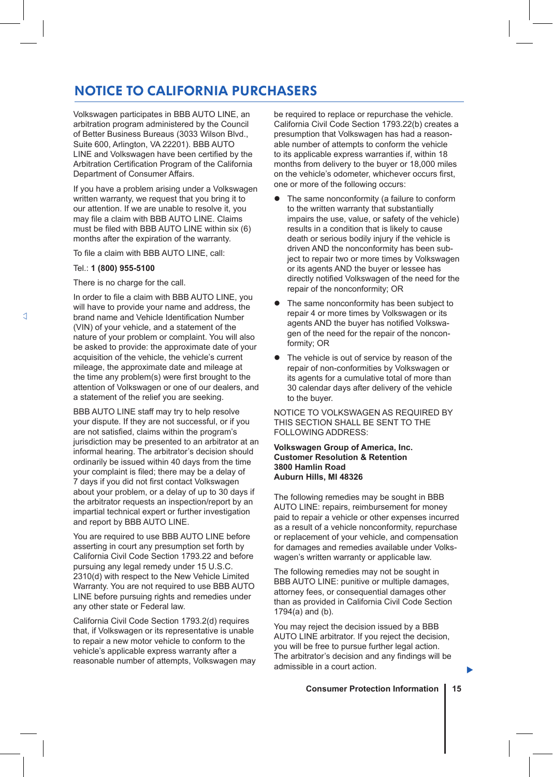# NOTICE TO CALIFORNIA PURCHASERS

Volkswagen participates in BBB AUTO LINE, an arbitration program administered by the Council of Better Business Bureaus (3033 Wilson Blvd., Suite 600, Arlington, VA 22201). BBB AUTO LINE and Volkswagen have been certified by the Arbitration Certification Program of the California Department of Consumer Affairs.

If you have a problem arising under a Volkswagen written warranty, we request that you bring it to our attention. If we are unable to resolve it, you may file a claim with BBB AUTO LINE. Claims must be filed with BBB AUTO LINE within six (6) months after the expiration of the warranty.

To file a claim with BBB AUTO LINE, call:

### Tel.: **1 (800) 955-5100**

There is no charge for the call.

In order to file a claim with BBB AUTO LINE, you will have to provide your name and address, the brand name and Vehicle Identification Number (VIN) of your vehicle, and a statement of the nature of your problem or complaint. You will also be asked to provide: the approximate date of your acquisition of the vehicle, the vehicle's current mileage, the approximate date and mileage at the time any problem(s) were first brought to the attention of Volkswagen or one of our dealers, and a statement of the relief you are seeking.

BBB AUTO LINE staff may try to help resolve your dispute. If they are not successful, or if you are not satisfied, claims within the program's jurisdiction may be presented to an arbitrator at an informal hearing. The arbitrator's decision should ordinarily be issued within 40 days from the time your complaint is filed; there may be a delay of 7 days if you did not first contact Volkswagen about your problem, or a delay of up to 30 days if the arbitrator requests an inspection/report by an impartial technical expert or further investigation and report by BBB AUTO LINE.

You are required to use BBB AUTO LINE before asserting in court any presumption set forth by California Civil Code Section 1793.22 and before pursuing any legal remedy under 15 U.S.C. 2310(d) with respect to the New Vehicle Limited Warranty. You are not required to use BBB AUTO LINE before pursuing rights and remedies under any other state or Federal law.

California Civil Code Section 1793.2(d) requires that, if Volkswagen or its representative is unable to repair a new motor vehicle to conform to the vehicle's applicable express warranty after a reasonable number of attempts, Volkswagen may be required to replace or repurchase the vehicle. California Civil Code Section 1793.22(b) creates a presumption that Volkswagen has had a reasonable number of attempts to conform the vehicle to its applicable express warranties if, within 18 months from delivery to the buyer or 18,000 miles on the vehicle's odometer, whichever occurs first, one or more of the following occurs:

- The same nonconformity (a failure to conform to the written warranty that substantially impairs the use, value, or safety of the vehicle) results in a condition that is likely to cause death or serious bodily injury if the vehicle is driven AND the nonconformity has been subject to repair two or more times by Volkswagen or its agents AND the buyer or lessee has directly notified Volkswagen of the need for the repair of the nonconformity; OR
- The same nonconformity has been subject to repair 4 or more times by Volkswagen or its agents AND the buyer has notified Volkswagen of the need for the repair of the nonconformity; OR
- The vehicle is out of service by reason of the repair of non-conformities by Volkswagen or its agents for a cumulative total of more than 30 calendar days after delivery of the vehicle to the buyer.

NOTICE TO VOLKSWAGEN AS REQUIRED BY THIS SECTION SHALL BE SENT TO THE FOLLOWING ADDRESS:

### **Volkswagen Group of America, Inc. Customer Resolution & Retention 3800 Hamlin Road Auburn Hills, MI 48326**

The following remedies may be sought in BBB AUTO LINE: repairs, reimbursement for money paid to repair a vehicle or other expenses incurred as a result of a vehicle nonconformity, repurchase or replacement of your vehicle, and compensation for damages and remedies available under Volkswagen's written warranty or applicable law.

The following remedies may not be sought in BBB AUTO LINE: punitive or multiple damages, attorney fees, or consequential damages other than as provided in California Civil Code Section 1794(a) and (b).

You may reject the decision issued by a BBB AUTO LINE arbitrator. If you reject the decision, you will be free to pursue further legal action. The arbitrator's decision and any findings will be admissible in a court action.

**Consumer Protection Information 15**

▶